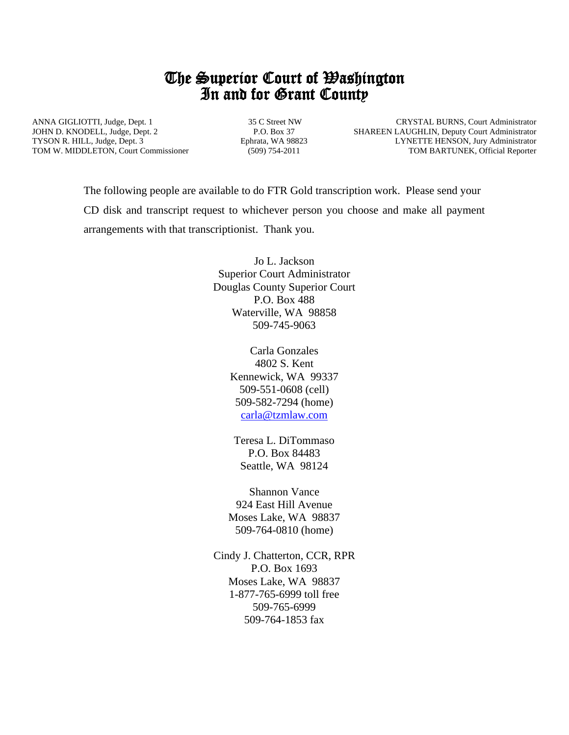## The Superior Court of Washington In and for Grant County

ANNA GIGLIOTTI, Judge, Dept. 1 JOHN D. KNODELL, Judge, Dept. 2 TYSON R. HILL, Judge, Dept. 3 TOM W. MIDDLETON, Court Commissioner

 35 C Street NW P.O. Box 37 Ephrata, WA 98823 (509) 754-2011

 CRYSTAL BURNS, Court Administrator SHAREEN LAUGHLIN, Deputy Court Administrator LYNETTE HENSON, Jury Administrator TOM BARTUNEK, Official Reporter

The following people are available to do FTR Gold transcription work. Please send your CD disk and transcript request to whichever person you choose and make all payment arrangements with that transcriptionist. Thank you.

> Jo L. Jackson Superior Court Administrator Douglas County Superior Court P.O. Box 488 Waterville, WA 98858 509-745-9063

> > Carla Gonzales 4802 S. Kent Kennewick, WA 99337 509-551-0608 (cell) 509-582-7294 (home) [carla@tzmlaw.com](mailto:carla@tzmlaw.com)

Teresa L. DiTommaso P.O. Box 84483 Seattle, WA 98124

Shannon Vance 924 East Hill Avenue Moses Lake, WA 98837 509-764-0810 (home)

Cindy J. Chatterton, CCR, RPR P.O. Box 1693 Moses Lake, WA 98837 1-877-765-6999 toll free 509-765-6999 509-764-1853 fax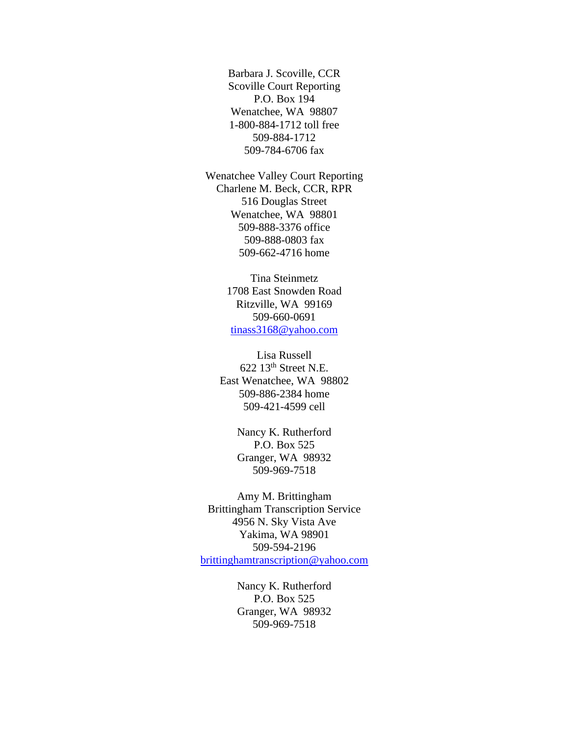Barbara J. Scoville, CCR Scoville Court Reporting P.O. Box 194 Wenatchee, WA 98807 1-800-884-1712 toll free 509-884-1712 509-784-6706 fax

Wenatchee Valley Court Reporting Charlene M. Beck, CCR, RPR 516 Douglas Street Wenatchee, WA 98801 509-888-3376 office 509-888-0803 fax 509-662-4716 home

> Tina Steinmetz 1708 East Snowden Road Ritzville, WA 99169 509-660-0691 [tinass3168@yahoo.com](mailto:tinass3168@yahoo.com)

Lisa Russell 622 13th Street N.E. East Wenatchee, WA 98802 509-886-2384 home 509-421-4599 cell

> Nancy K. Rutherford P.O. Box 525 Granger, WA 98932 509-969-7518

Amy M. Brittingham Brittingham Transcription Service 4956 N. Sky Vista Ave Yakima, WA 98901 509-594-2196 [brittinghamtranscription@yahoo.com](mailto:brittinghamtranscription@yahoo.com)

> Nancy K. Rutherford P.O. Box 525 Granger, WA 98932 509-969-7518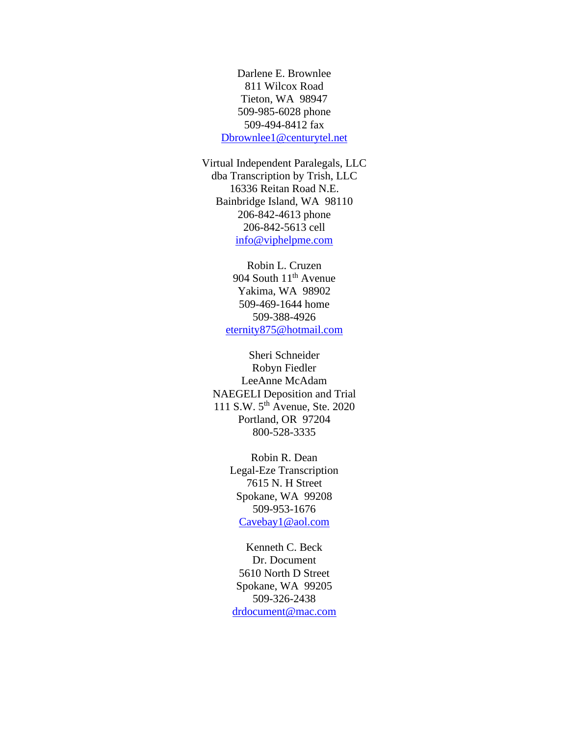Darlene E. Brownlee 811 Wilcox Road Tieton, WA 98947 509-985-6028 phone 509-494-8412 fax [Dbrownlee1@centurytel.net](mailto:Dbrownlee1@centurytel.net)

Virtual Independent Paralegals, LLC dba Transcription by Trish, LLC 16336 Reitan Road N.E. Bainbridge Island, WA 98110 206-842-4613 phone 206-842-5613 cell [info@viphelpme.com](mailto:info@viphelpme.com)

> Robin L. Cruzen 904 South 11<sup>th</sup> Avenue Yakima, WA 98902 509-469-1644 home 509-388-4926 [eternity875@hotmail.com](mailto:eternity875@hotmail.com)

Sheri Schneider Robyn Fiedler LeeAnne McAdam NAEGELI Deposition and Trial 111 S.W. 5<sup>th</sup> Avenue, Ste. 2020 Portland, OR 97204 800-528-3335

> Robin R. Dean Legal-Eze Transcription 7615 N. H Street Spokane, WA 99208 509-953-1676 [Cavebay1@aol.com](mailto:Cavebay1@aol.com)

Kenneth C. Beck Dr. Document 5610 North D Street Spokane, WA 99205 509-326-2438 [drdocument@mac.com](mailto:drdocument@mac.com)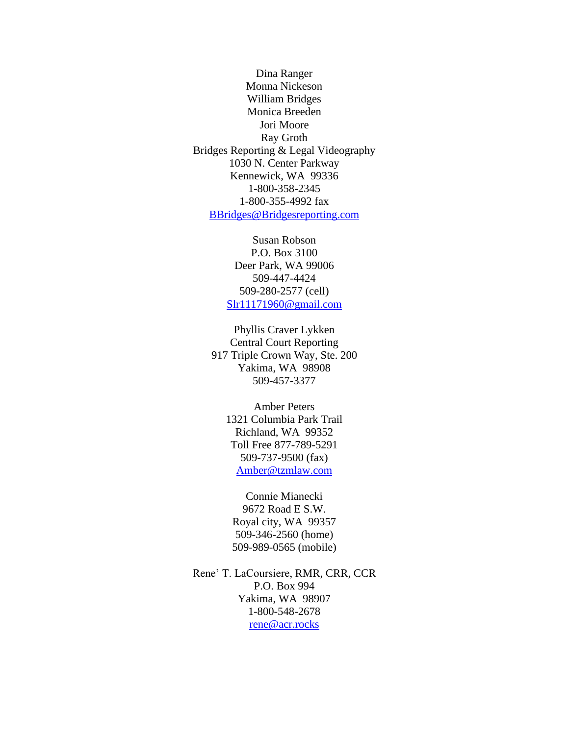Dina Ranger Monna Nickeson William Bridges Monica Breeden Jori Moore Ray Groth Bridges Reporting & Legal Videography 1030 N. Center Parkway Kennewick, WA 99336 1-800-358-2345 1-800-355-4992 fax [BBridges@Bridgesreporting.com](mailto:BBridges@Bridgesreporting.com)

> Susan Robson P.O. Box 3100 Deer Park, WA 99006 509-447-4424 509-280-2577 (cell) [Slr11171960@gmail.com](mailto:Slr11171960@gmail.com)

Phyllis Craver Lykken Central Court Reporting 917 Triple Crown Way, Ste. 200 Yakima, WA 98908 509-457-3377

> Amber Peters 1321 Columbia Park Trail Richland, WA 99352 Toll Free 877-789-5291 509-737-9500 (fax) [Amber@tzmlaw.com](mailto:Amber@tzmlaw.com)

Connie Mianecki 9672 Road E S.W. Royal city, WA 99357 509-346-2560 (home) 509-989-0565 (mobile)

Rene' T. LaCoursiere, RMR, CRR, CCR P.O. Box 994 Yakima, WA 98907 1-800-548-2678 [rene@acr.rocks](mailto:rene@acr.rocks)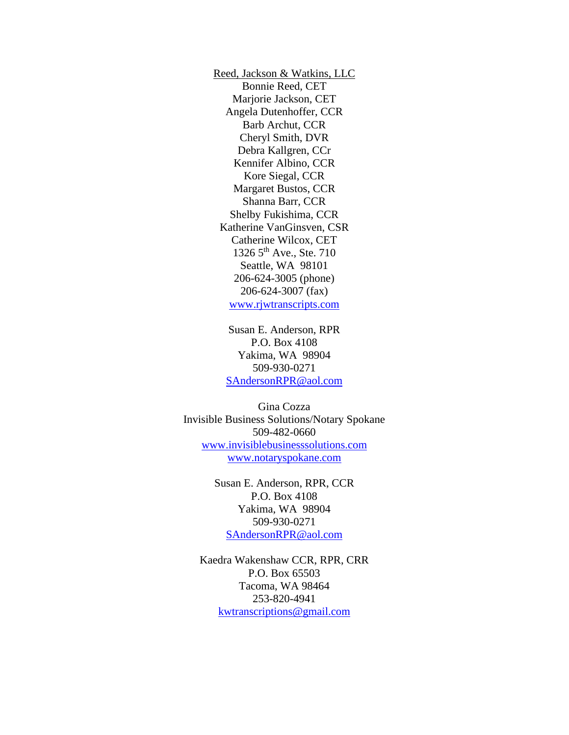Reed, Jackson & Watkins, LLC Bonnie Reed, CET Marjorie Jackson, CET Angela Dutenhoffer, CCR Barb Archut, CCR Cheryl Smith, DVR Debra Kallgren, CCr Kennifer Albino, CCR Kore Siegal, CCR Margaret Bustos, CCR Shanna Barr, CCR Shelby Fukishima, CCR Katherine VanGinsven, CSR Catherine Wilcox, CET 1326 5<sup>th</sup> Ave., Ste. 710 Seattle, WA 98101 206-624-3005 (phone) 206-624-3007 (fax) [www.rjwtranscripts.com](http://www.rjtranscripts.com/)

Susan E. Anderson, RPR P.O. Box 4108 Yakima, WA 98904 509-930-0271 [SAndersonRPR@aol.com](mailto:SAndersonRPR@aol.com)

Gina Cozza Invisible Business Solutions/Notary Spokane 509-482-0660 [www.invisiblebusinesssolutions.com](http://www.invisiblebusinesssolutions.com/) [www.notaryspokane.com](http://www.notaryspokane.com/)

> Susan E. Anderson, RPR, CCR P.O. Box 4108 Yakima, WA 98904 509-930-0271 [SAndersonRPR@aol.com](mailto:SAndersonRPR@aol.com)

Kaedra Wakenshaw CCR, RPR, CRR P.O. Box 65503 Tacoma, WA 98464 253-820-4941 [kwtranscriptions@gmail.com](mailto:kwtranscriptions@gmail.com)